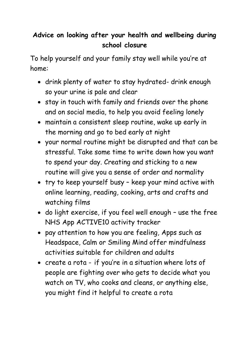## **Advice on looking after your health and wellbeing during school closure**

To help yourself and your family stay well while you're at home:

- drink plenty of water to stay hydrated- drink enough so your urine is pale and clear
- stay in touch with family and friends over the phone and on social media, to help you avoid feeling lonely
- maintain a consistent sleep routine, wake up early in the morning and go to bed early at night
- your normal routine might be disrupted and that can be stressful. Take some time to write down how you want to spend your day. Creating and sticking to a new routine will give you a sense of order and normality
- try to keep yourself busy keep your mind active with online learning, reading, cooking, arts and crafts and watching films
- do light exercise, if you feel well enough use the free NHS App ACTIVE10 activity tracker
- pay attention to how you are feeling, Apps such as Headspace, Calm or Smiling Mind offer mindfulness activities suitable for children and adults
- create a rota if you're in a situation where lots of people are fighting over who gets to decide what you watch on TV, who cooks and cleans, or anything else, you might find it helpful to create a rota